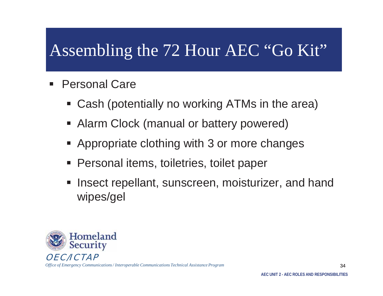- $\blacksquare$  Personal Care
	- Cash (potentially no working ATMs in the area)
	- **Alarm Clock (manual or battery powered)**
	- **Appropriate clothing with 3 or more changes**
	- **Personal items, toiletries, toilet paper**
	- Insect repellant, sunscreen, moisturizer, and hand wipes/gel



*Office of Emergency Communications / Interoperable Communications Technical Assistance Program* 

34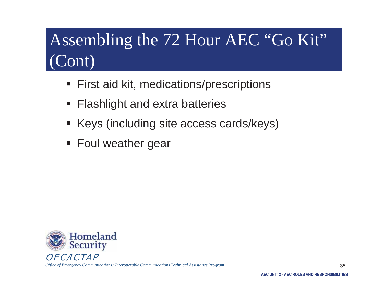- **First aid kit, medications/prescriptions**
- **Flashlight and extra batteries**
- Keys (including site access cards/keys)
- **Foul weather gear**



*Office of Emergency Communications / Interoperable Communications Technical Assistance Program* 

35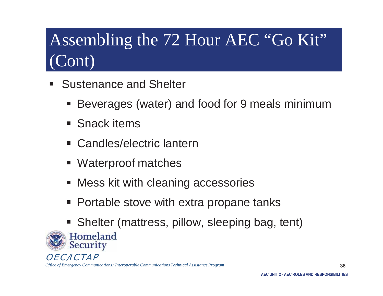- l. Sustenance and Shelter
	- Beverages (water) and food for 9 meals minimum
	- Snack items
	- Candles/electric lantern
	- **Waterproof matches**
	- **Mess kit with cleaning accessories**
	- Portable stove with extra propane tanks
	- **Shelter (mattress, pillow, sleeping bag, tent)**

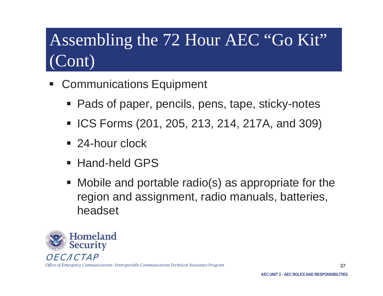- l. Communications Equipment
	- Pads of paper, pencils, pens, tape, sticky-notes
	- ICS Forms (201, 205, 213, 214, 217A, and 309)
	- 24-hour clock
	- Hand-held GPS
	- Mobile and portable radio(s) as appropriate for the region and assignment, radio manuals, batteries, headset

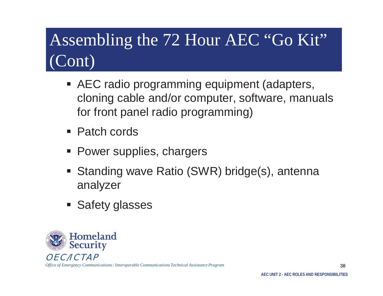- AEC radio programming equipment (adapters, cloning cable and/or computer, software, manuals for front panel radio programming)
- Patch cords
- **Power supplies, chargers**
- Standing wave Ratio (SWR) bridge(s), antenna analyzer
- **Safety glasses**

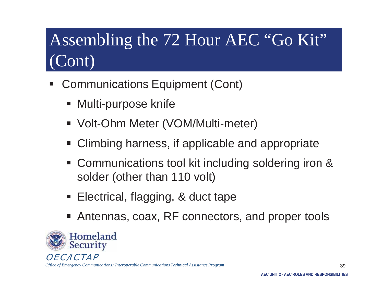- l. Communications Equipment (Cont)
	- **Multi-purpose knife**
	- Volt-Ohm Meter (VOM/Multi-meter)
	- **Climbing harness, if applicable and appropriate**
	- **Communications tool kit including soldering iron &** solder (other than 110 volt)
	- **Service Service** Electrical, flagging, & duct tape
	- Antennas, coax, RF connectors, and proper tools



*Office of Emergency Communications / Interoperable Communications Technical Assistance Program* 

39